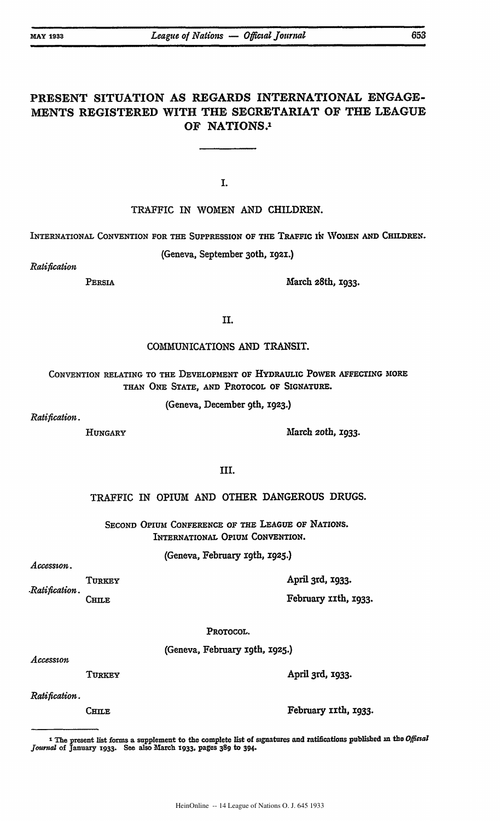# PRESENT **SITUATION AS** REGARDS INTERNATIONAL **ENGAGE-MENTS** REGISTERED WITH THE SECRETARIAT OF THE **LEAGUE** OF **NATIONS. <sup>1</sup>**

**I.**

# TRAFFIC IN WOMEN **AND** CHILDREN.

## INTERNATIONAL CONVENTION FOR THE SUPPRESSION OF THE TRAFFIC IN WOMEN AND CHILDREN.

(Geneva, September 3oth, i92.)

*Ratification*

PERSIA March 28th, **1933.** 

**II.**

## COMMUNICATIONS AND TRANSIT.

CONVENTION RELATING TO THE DEVELOPMENT OF HYDRAULIC POWER **ArFECTING** MORE **THAN ONE** STATE, **AND** PROTOCOL OF SIGNATURE.

(Geneva, December 9th, 1923.)

*Ratification.*

HUNGARY March *2oth,* **1933.**

# III.

## TRAFFIC IN **OPIUM** AND OTHER DANGEROUS DRUGS.

SECOND OPIUM CONFERENCE OF THE LEAGUE OF NATIONS. INTERNATIONAL OPIUM CONVENTION.

(Geneva, February **19th,** x925.)

### Accesston.

*-Ratification.* **TURKEY CHILE**

February izth, 1933.

### PROTOCOL.

(Geneva, February xgth, 1925.)

 $A$ *ccession* 

TURKEY

April 3rd, 1933.

April 3rd, **X933.**

*Ratification.*

**CHILE** 

February IIth, 1933.

**I** The present list forms a supplement to the complete list of signatures and ratifications published **in** the *Offial journd* of January **1933.** See also **March 1933,** pages **389** to 394-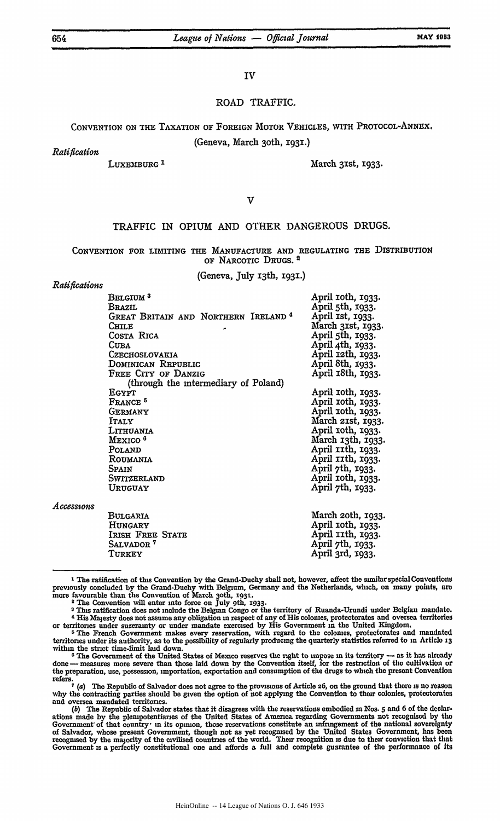IV

### ROAD TRAFFIC.

**CONVENTION ON** THE TAXATION OF FOREIGN MOTOR **VEHICLES,** WITH PROTOCOL-ANNEX.

(Geneva, March 3oth, 1931.)

*Ratification*

LUXEMBURG<sup>1</sup> March 31st, 1933.

 $\overline{\mathsf{V}}$ 

## TRAFFIC IN OPIUM **AND** OTHER **DANGEROUS DRUGS.**

**CONVENTION** FOR LIMITING THE **MANUFACTURE AND** REGULATING THE DISTRIBUTION OF NARCOTIC DRUGS. **2**

(Geneva, **July** 13th, 1931.)

### *Ratifications*

| BELGIUM <sup>3</sup>                                        | April 10th, 1933. |
|-------------------------------------------------------------|-------------------|
| Brazil                                                      | April 5th, 1933.  |
| GREAT BRITAIN AND NORTHERN IRELAND <sup>4</sup>             | April 1st, 1933.  |
| CHILE                                                       | March 31st, 1933. |
| COSTA RICA                                                  | April 5th, 1933.  |
| <b>CUBA</b>                                                 | April 4th, 1933.  |
| CZECHOSLOVAKIA                                              | April 12th, 1933. |
| Dominican Republic                                          | April 8th, 1933.  |
| FREE CITY OF DANZIG<br>(through the intermediary of Poland) | April 18th, 1933. |
| <b>EGYPT</b>                                                | April 10th, 1933. |
| FRANCE <sup>5</sup>                                         | April 10th, 1933. |
| GERMANY                                                     | April 10th, 1933. |
| <b>ITALY</b>                                                | March 21st, 1933. |
| LITHUANIA                                                   | April 10th, 1933. |
| MEXICO <sup>6</sup>                                         | March 13th, 1933. |
| Poland                                                      | April 11th, 1933. |
| ROUMANIA                                                    | April 11th, 1933. |
| <b>SPAIN</b>                                                | April 7th, 1933.  |
| SWITZERLAND                                                 | April 10th, 1933. |
| Uruguay                                                     | April 7th, 1933.  |
| BULGARIA                                                    | March 20th, 1933. |
| HUNGARY                                                     | April 10th, 1933. |

*Access0ons*

| Bulgaria              | March 20th, 1933  |
|-----------------------|-------------------|
| HUNGARY               | April 10th, 1933. |
| IRISH FREE STATE      | April 11th, 1933. |
| Salvador <sup>7</sup> | April 7th, 1933.  |
| Turkey                | April 3rd, 1933.  |

**<sup>1</sup>** The ratification of this Convention **by** the Grand-Duchy shall not, however, affect the similar special Conventions previously concluded **by** the Grand-Duchy with Belgium, Germany and the Netherlands, which, on many points, are more favourable than the Convention of March **3oth, 193T.**

<sup>2</sup> The Convention will enter into force on July 9th, **1933. 3** This ratification does not include the Belgian Congo or the territory of Ruanda-Urundi under Belgian mandate. <sup>4</sup>His Majesty does not assume any obligation **in** respect of any of His colonies, protectorates and oversea territories or territories under suzerainty or under mandate exercised **by** His Government in the United Kingdom.

 $5$  The French Government makes every reservation, with regard to the colonies, protectorates and mandated territories under its authority, as to the possibility of regularly producing the quarterly statistics referred to **in** Article **13** within the strict time-limit **laid** down.

<sup>&</sup>lt;sup>6</sup> The Government of the United States of Mexico reserves the right to impose in its territory — as it has already done — measures more severe than those laid down by the Convention itself, for the restriction of the cul the preparation, use, possession, importation, exportation and consumption of the drugs to which the present Convention the  $r$  refers.<br> $\begin{bmatrix} 7 & a \end{bmatrix}$ 

 $\frac{1}{2}$ ,  $\frac{1}{2}$  (a) The Republic of Salvador does not agree to the provisions of Article 26, on the ground that there is no reason<br>why the contracting parties should be given the option of not applying the Convention and oversea mandated territories.

*<sup>(</sup>b)* The Republic of Salvador states that it disagrees with the reservations embodied **in** Nos. 5 and **6** of the declarations made **by** the plempotentianes of the United States of America regarding Governments not recognised **by** the Government' of that country in its opimon, those reservations constitute an infringement of the national sovereignty of Salvador, whose present Government, though not as yet recogmsed **by** the United States Government, has **been** recogmsed **by** the majority of the civilised countries of the world. Their recognition is due to their conviction that that Government **is** a perfectly constitutional one and affords a full and complete guarantee of the performance of Its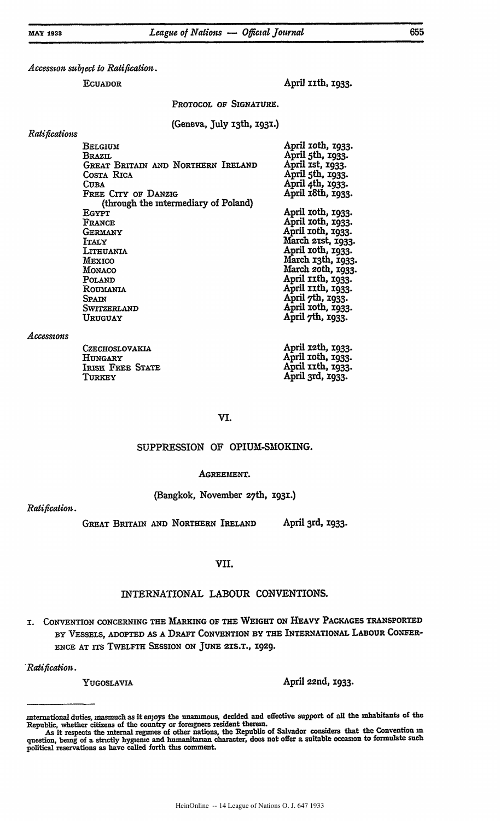*Accesson subject to Ratifation.*

ECUADOR **April 11th, 1933.** 

PROTOCOL OF **SIGNATURE.**

(Geneva, July i3th, **193T.)**

### *Ratifications*

| Belgium<br><b>BRAZIL</b><br>GREAT BRITAIN AND NORTHERN IRELAND<br>Costa Rica<br><b>CUBA</b><br>FREE CITY OF DANZIG<br>(through the intermediary of Poland) | April 10th, 1933.<br>April 5th, 1933.<br>April Ist, 1933.<br>April 5th, 1933.<br>April 4th, 1933.<br>April 18th, 1933. |
|------------------------------------------------------------------------------------------------------------------------------------------------------------|------------------------------------------------------------------------------------------------------------------------|
| EGYPT                                                                                                                                                      | April 10th, 1933.                                                                                                      |
| FRANCE                                                                                                                                                     | April 10th, 1933.                                                                                                      |
| GERMANY                                                                                                                                                    | April roth, 1933.                                                                                                      |
| <b>ITALY</b>                                                                                                                                               | March 21st, 1933.                                                                                                      |
| LITHUANIA                                                                                                                                                  | April 10th, 1933.                                                                                                      |
| Mexico                                                                                                                                                     | March 13th, 1933.                                                                                                      |
| MONACO                                                                                                                                                     | March 20th, 1933.                                                                                                      |
| POLAND                                                                                                                                                     | April IIth, 1933.                                                                                                      |
| ROUMANIA                                                                                                                                                   | April 11th, 1933.                                                                                                      |
| Spain                                                                                                                                                      | April 7th, 1933.                                                                                                       |
| SWITZERLAND                                                                                                                                                | April roth, 1933.                                                                                                      |
| URUGUAY                                                                                                                                                    | April 7th, 1933.                                                                                                       |
| <b>CZECHOSLOVAKIA</b>                                                                                                                                      | April 12th, 1933.                                                                                                      |

### *Accessons*

| CZECHOSLOVAKIA   | April 12th, 1933. |
|------------------|-------------------|
| HUNGARY          | April roth, 1933. |
| IRISH FREE STATE | April 11th, 1933. |
| TURKEY           | April 3rd, 1933.  |

### VI.

### SUPPRESSION OF OPIUM-SMOKING.

### AGREEMENT.

### (Bangkok, November 27th, **I931.)**

*Ratification.*

GREAT BRITAIN **AND** NORTHERN IRELAND April 3rd, **1933.**

# **VII.**

# INTERNATIONAL LABOUR **CONVENTIONS.**

I. CONVENTION **CONCERNING** THE MARKING OF THE WEIGHT ON HEAVY **PACKAGES** TRANSPORTED BY **VESSELS,** ADOPTED **AS A** DRAFT CONVENTION BY THE INTERNATIONAL LABOUR CONFER-ENCE **AT** ITS TWELFTH **SESSION ON JUNE 21S.T.,** 1929.

*Ratification.*

YUGOSLAVIA **April 22nd, 1933.** 

international duties, inasmuch as it enjoys the unanimous, decided and effective support of **all** the inhabitants of the Republic, whether citizens of the country or foreigners resident therein. As it respects the internal regimes of other nations, the Republic of Salvador considers that the Convention **m**

question, being of a strictly hygienic and humanitarian character, does not offer a suitable occasion to formulate such political reservations as have called forth this comment.